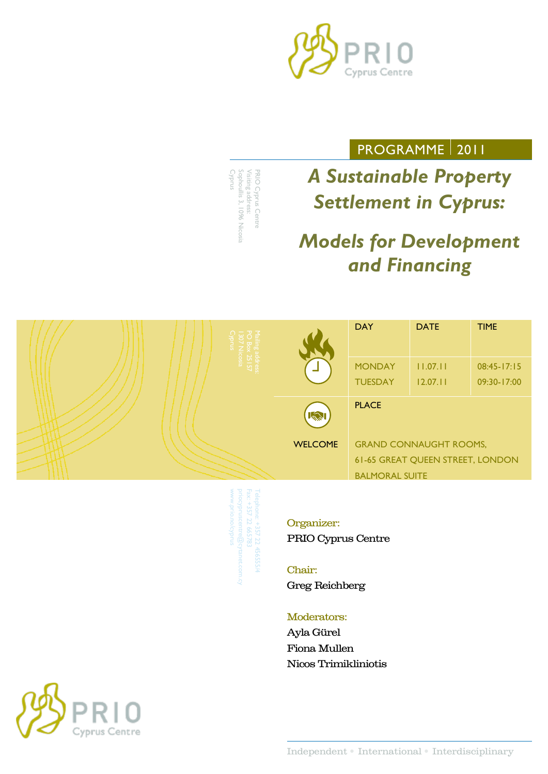

## PROGRAMME 2011

Cyprus Sophoullis 3, 1096 Nicosia Visiting address: Visiting address: PRIO Cyprus Centre PRIO Cyprus Centre ophoullis 3, 1096 Nicosia

*A Sustainable Property Settlement in Cyprus:*

# *Models for Development and Financing*



Telephone: +357 22 456555/4 www.prio.no/cyprus priocypruscentre@cytanet.com.cy

### Organizer:

PRIO Cyprus Centre

#### Chair:

Greg Reichberg

#### Moderators:

Ayla Gürel Fiona Mullen Nicos Trimikliniotis

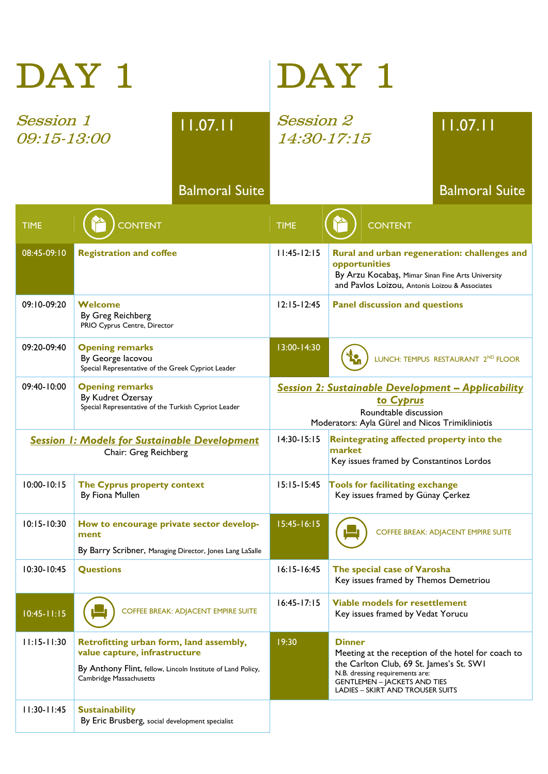|                                                                               | DAY 1                                                                                                                                                              | DAY 1                                                                                                                                              |                                                                                                                                                                                                                                      |  |  |
|-------------------------------------------------------------------------------|--------------------------------------------------------------------------------------------------------------------------------------------------------------------|----------------------------------------------------------------------------------------------------------------------------------------------------|--------------------------------------------------------------------------------------------------------------------------------------------------------------------------------------------------------------------------------------|--|--|
| <b>Session 1</b><br>11.07.11<br>09:15-13:00                                   |                                                                                                                                                                    | <i>Session 2</i><br>11.07.11<br>14:30-17:15                                                                                                        |                                                                                                                                                                                                                                      |  |  |
|                                                                               | <b>Balmoral Suite</b>                                                                                                                                              |                                                                                                                                                    | <b>Balmoral Suite</b>                                                                                                                                                                                                                |  |  |
| <b>TIME</b>                                                                   | <b>CONTENT</b>                                                                                                                                                     | <b>TIME</b>                                                                                                                                        | <b>CONTENT</b>                                                                                                                                                                                                                       |  |  |
| 08:45-09:10                                                                   | <b>Registration and coffee</b>                                                                                                                                     | $11:45-12:15$                                                                                                                                      | Rural and urban regeneration: challenges and<br>opportunities<br>By Arzu Kocabaş, Mimar Sinan Fine Arts University<br>and Pavlos Loizou, Antonis Loizou & Associates                                                                 |  |  |
| 09:10-09:20                                                                   | Welcome<br>By Greg Reichberg<br>PRIO Cyprus Centre, Director                                                                                                       | $12:15 - 12:45$                                                                                                                                    | <b>Panel discussion and questions</b>                                                                                                                                                                                                |  |  |
| 09:20-09:40                                                                   | <b>Opening remarks</b><br>By George lacovou<br>Special Representative of the Greek Cypriot Leader                                                                  | 13:00-14:30                                                                                                                                        | LUNCH: TEMPUS RESTAURANT 2ND FLOOR                                                                                                                                                                                                   |  |  |
| 09:40-10:00                                                                   | <b>Opening remarks</b><br>By Kudret Özersay<br>Special Representative of the Turkish Cypriot Leader                                                                | <b>Session 2: Sustainable Development - Applicability</b><br>to Cyprus<br>Roundtable discussion<br>Moderators: Ayla Gürel and Nicos Trimikliniotis |                                                                                                                                                                                                                                      |  |  |
| <b>Session 1: Models for Sustainable Development</b><br>Chair: Greg Reichberg |                                                                                                                                                                    | 14:30-15:15                                                                                                                                        | Reintegrating affected property into the<br>market<br>Key issues framed by Constantinos Lordos                                                                                                                                       |  |  |
| $10:00 - 10:15$                                                               | The Cyprus property context<br>By Fiona Mullen                                                                                                                     | $15:15 - 15:45$                                                                                                                                    | Tools for facilitating exchange<br>Key issues framed by Günay Çerkez                                                                                                                                                                 |  |  |
| $10:15 - 10:30$                                                               | How to encourage private sector develop-<br>ment<br>By Barry Scribner, Managing Director, Jones Lang LaSalle                                                       | $15:45 - 16:15$                                                                                                                                    | <b>COFFEE BREAK: ADJACENT EMPIRE SUITE</b>                                                                                                                                                                                           |  |  |
| 10:30-10:45                                                                   | <b>Questions</b>                                                                                                                                                   | $16:15 - 16:45$                                                                                                                                    | The special case of Varosha<br>Key issues framed by Themos Demetriou                                                                                                                                                                 |  |  |
| $10:45 - 11:15$                                                               | <b>COFFEE BREAK: ADJACENT EMPIRE SUITE</b>                                                                                                                         | $16:45 - 17:15$                                                                                                                                    | <b>Viable models for resettlement</b><br>Key issues framed by Vedat Yorucu                                                                                                                                                           |  |  |
| $11:15 - 11:30$                                                               | Retrofitting urban form, land assembly,<br>value capture, infrastructure<br>By Anthony Flint, fellow, Lincoln Institute of Land Policy,<br>Cambridge Massachusetts | 19:30                                                                                                                                              | <b>Dinner</b><br>Meeting at the reception of the hotel for coach to<br>the Carlton Club, 69 St. James's St. SW1<br>N.B. dressing requirements are:<br><b>GENTLEMEN - JACKETS AND TIES</b><br><b>LADIES - SKIRT AND TROUSER SUITS</b> |  |  |
| $11:30 - 11:45$                                                               | <b>Sustainability</b><br>By Eric Brusberg, social development specialist                                                                                           |                                                                                                                                                    |                                                                                                                                                                                                                                      |  |  |